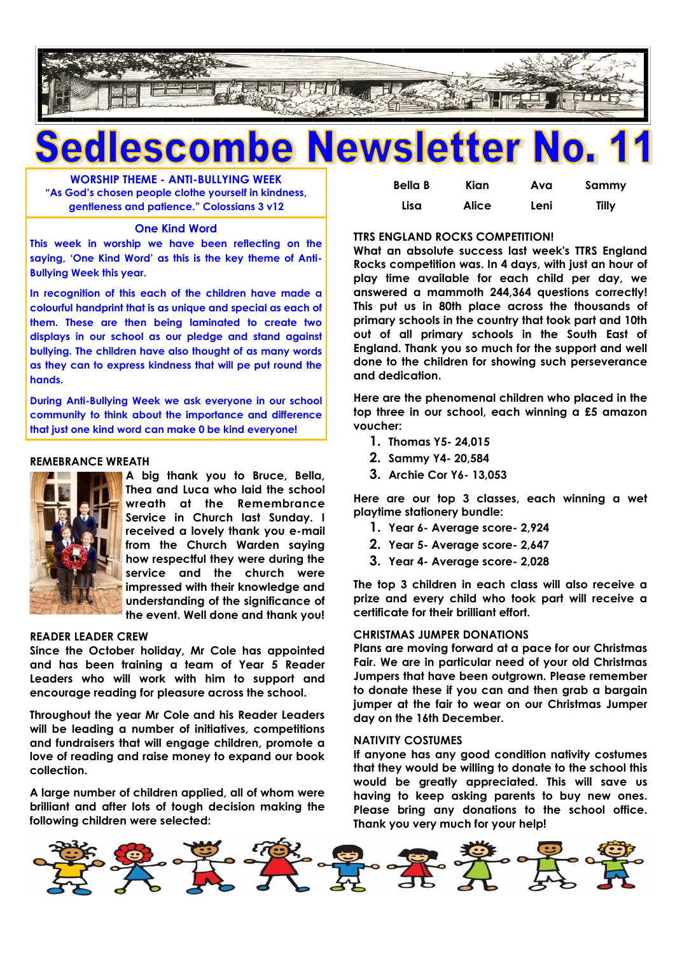

## **be Newsletter No. SCON**

**WORSHIP THEME - ANTI-BULLYING WEEK "As God's chosen people clothe yourself in kindness, gentleness and patience." Colossians 3 v12**

#### **One Kind Word**

**This week in worship we have been reflecting on the saying, 'One Kind Word' as this is the key theme of Anti-Bullying Week this year.**

**In recognition of this each of the children have made a colourful handprint that is as unique and special as each of them. These are then being laminated to create two displays in our school as our pledge and stand against bullying. The children have also thought of as many words as they can to express kindness that will pe put round the hands.** 

**During Anti-Bullying Week we ask everyone in our school community to think about the importance and difference that just one kind word can make 0 be kind everyone!**

#### **REMEBRANCE WREATH**



**A big thank you to Bruce, Bella, Thea and Luca who laid the school wreath at the Remembrance Service in Church last Sunday. I received a lovely thank you e-mail from the Church Warden saying how respectful they were during the service and the church were impressed with their knowledge and understanding of the significance of the event. Well done and thank you!**

#### **READER LEADER CREW**

**Since the October holiday, Mr Cole has appointed and has been training a team of Year 5 Reader Leaders who will work with him to support and encourage reading for pleasure across the school.**

**Throughout the year Mr Cole and his Reader Leaders will be leading a number of initiatives, competitions and fundraisers that will engage children, promote a love of reading and raise money to expand our book collection.**

**A large number of children applied, all of whom were brilliant and after lots of tough decision making the following children were selected:** 

| <b>Bella B</b> | Kian         | Ava  | Sammy |
|----------------|--------------|------|-------|
| Lisa           | <b>Alice</b> | Leni | Tilly |

#### **TTRS ENGLAND ROCKS COMPETITION!**

**What an absolute success last week's TTRS England Rocks competition was. In 4 days, with just an hour of play time available for each child per day, we answered a mammoth 244,364 questions correctly! This put us in 80th place across the thousands of primary schools in the country that took part and 10th out of all primary schools in the South East of England. Thank you so much for the support and well done to the children for showing such perseverance and dedication.**

**Here are the phenomenal children who placed in the top three in our school, each winning a £5 amazon voucher:**

- **1. Thomas Y5- 24,015**
- **2. Sammy Y4- 20,584**
- **3. Archie Cor Y6- 13,053**

**Here are our top 3 classes, each winning a wet playtime stationery bundle:** 

- **1. Year 6- Average score- 2,924**
- **2. Year 5- Average score- 2,647**
- **3. Year 4- Average score- 2,028**

**The top 3 children in each class will also receive a prize and every child who took part will receive a certificate for their brilliant effort.** 

#### **CHRISTMAS JUMPER DONATIONS**

**Plans are moving forward at a pace for our Christmas Fair. We are in particular need of your old Christmas Jumpers that have been outgrown. Please remember to donate these if you can and then grab a bargain jumper at the fair to wear on our Christmas Jumper day on the 16th December.**

#### **NATIVITY COSTUMES**

**If anyone has any good condition nativity costumes that they would be willing to donate to the school this would be greatly appreciated. This will save us having to keep asking parents to buy new ones. Please bring any donations to the school office. Thank you very much for your help!**